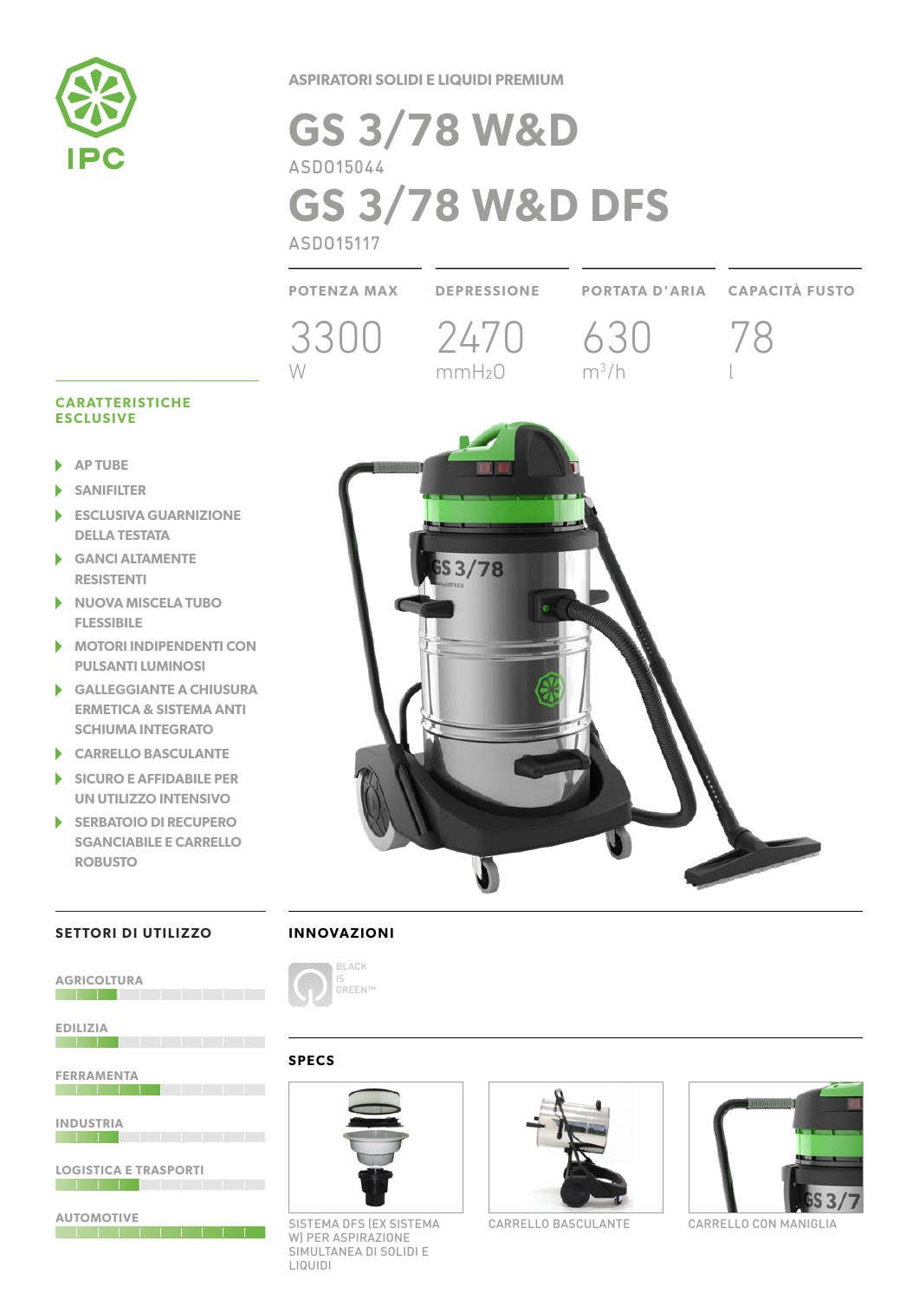

**ASPIRATORI SOLIDI E LIQUIDI PREMIUM**

# **GS 3/78 W&D** ASDO15044 **GS 3/78 W&D DFS** ASDO15117



#### **CARATTERISTICHE ESCLUSIVE**

- **AP TUBE** ь
- **SANIFILTER**
- **ESCLUSIVA GUARNIZIONE DELLA TESTATA**
- **GANCI ALTAMENTE RESISTENTI**
- $\blacktriangleright$ **NUOVA MISCELA TUBO FLESSIBILE**
- **MOTORI INDIPENDENTI CON PULSANTI LUMINOSI**
- **GALLEGGIANTE A CHIUSURA**  ь **ERMETICA & SISTEMA ANTI SCHIUMA INTEGRATO**
- **CARRELLO BASCULANTE**
- **SICURO E AFFIDABILE PER**  D **UN UTILIZZO INTENSIVO**
- **SERBATOIO DI RECUPERO SGANCIABILE E CARRELLO ROBUSTO**

#### **SETTORI DI UTILIZZO**

| <b>AGRICOLTURA</b>           |  |   |  |
|------------------------------|--|---|--|
| <b>EDILIZIA</b>              |  |   |  |
|                              |  |   |  |
| <b>FERRAMENTA</b>            |  |   |  |
| <b>INDUSTRIA</b>             |  |   |  |
| <b>LOGISTICA E TRASPORTI</b> |  |   |  |
| <b>AUTOMOTIVE</b>            |  |   |  |
|                              |  | п |  |

## **INNOVAZIONI**



### **SPECS**



SISTEMA DFS (EX SISTEMA CARRELLO BASCULANTE CARRELLO CON MANIGLIA W) PER ASPIRAZIONE SIMULTANEA DI SOLIDI E LIQUIDI



CARRELLO BASCULANTE